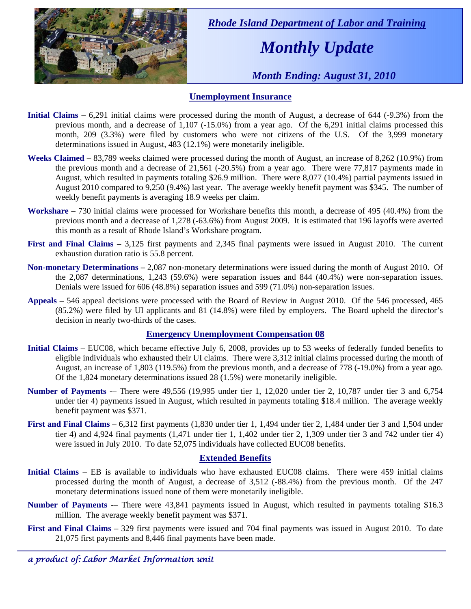

 *Rhode Island Department of Labor and Training* 

# *Monthly Update*

 *Month Ending: August 31, 2010* 

### **Unemployment Insurance**

- **Initial Claims 6.291** initial claims were processed during the month of August, a decrease of 644 (-9.3%) from the previous month, and a decrease of 1,107 (-15.0%) from a year ago. Of the 6,291 initial claims processed this month, 209 (3.3%) were filed by customers who were not citizens of the U.S. Of the 3,999 monetary determinations issued in August, 483 (12.1%) were monetarily ineligible.
- **Weeks Claimed** 83,789 weeks claimed were processed during the month of August, an increase of 8,262 (10.9%) from the previous month and a decrease of 21,561 (-20.5%) from a year ago. There were 77,817 payments made in August, which resulted in payments totaling \$26.9 million. There were 8,077 (10.4%) partial payments issued in August 2010 compared to 9,250 (9.4%) last year. The average weekly benefit payment was \$345. The number of weekly benefit payments is averaging 18.9 weeks per claim.
- **Workshare –** 730 initial claims were processed for Workshare benefits this month, a decrease of 495 (40.4%) from the previous month and a decrease of 1,278 (-63.6%) from August 2009. It is estimated that 196 layoffs were averted this month as a result of Rhode Island's Workshare program.
- **First and Final Claims –** 3,125 first payments and 2,345 final payments were issued in August 2010. The current exhaustion duration ratio is 55.8 percent.
- **Non-monetary Determinations –** 2,087 non-monetary determinations were issued during the month of August 2010. Of the 2,087 determinations, 1,243 (59.6%) were separation issues and 844 (40.4%) were non-separation issues. Denials were issued for 606 (48.8%) separation issues and 599 (71.0%) non-separation issues.
- **Appeals** 546 appeal decisions were processed with the Board of Review in August 2010. Of the 546 processed, 465 (85.2%) were filed by UI applicants and 81 (14.8%) were filed by employers. The Board upheld the director's decision in nearly two-thirds of the cases.

### **Emergency Unemployment Compensation 08**

- **Initial Claims**  EUC08, which became effective July 6, 2008, provides up to 53 weeks of federally funded benefits to eligible individuals who exhausted their UI claims. There were 3,312 initial claims processed during the month of August, an increase of 1,803 (119.5%) from the previous month, and a decrease of 778 (-19.0%) from a year ago. Of the 1,824 monetary determinations issued 28 (1.5%) were monetarily ineligible.
- **Number of Payments** -– There were 49,556 (19,995 under tier 1, 12,020 under tier 2, 10,787 under tier 3 and 6,754 under tier 4) payments issued in August, which resulted in payments totaling \$18.4 million. The average weekly benefit payment was \$371.
- **First and Final Claims**  6,312 first payments (1,830 under tier 1, 1,494 under tier 2, 1,484 under tier 3 and 1,504 under tier 4) and 4,924 final payments (1,471 under tier 1, 1,402 under tier 2, 1,309 under tier 3 and 742 under tier 4) were issued in July 2010. To date 52,075 individuals have collected EUC08 benefits.

### **Extended Benefits**

- **Initial Claims**  EB is available to individuals who have exhausted EUC08 claims. There were 459 initial claims processed during the month of August, a decrease of 3,512 (-88.4%) from the previous month. Of the 247 monetary determinations issued none of them were monetarily ineligible.
- **Number of Payments** -- There were 43,841 payments issued in August, which resulted in payments totaling \$16.3 million. The average weekly benefit payment was \$371.
- **First and Final Claims**  329 first payments were issued and 704 final payments was issued in August 2010. To date 21,075 first payments and 8,446 final payments have been made.